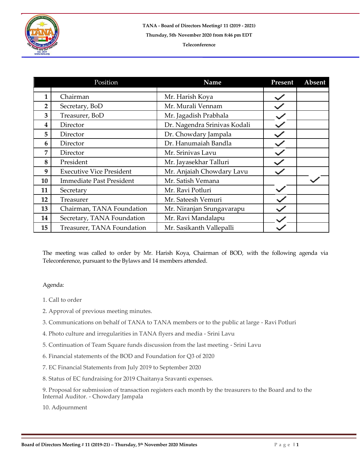

## **Teleconference**

|                | Position                        | Name                         | Present | Absent |
|----------------|---------------------------------|------------------------------|---------|--------|
|                |                                 |                              |         |        |
| 1              | Chairman                        | Mr. Harish Koya              |         |        |
| $\overline{2}$ | Secretary, BoD                  | Mr. Murali Vennam            |         |        |
| 3              | Treasurer, BoD                  | Mr. Jagadish Prabhala        |         |        |
| 4              | Director                        | Dr. Nagendra Srinivas Kodali |         |        |
| 5              | Director                        | Dr. Chowdary Jampala         |         |        |
| 6              | Director                        | Dr. Hanumaiah Bandla         |         |        |
| 7              | Director                        | Mr. Srinivas Lavu            |         |        |
| 8              | President                       | Mr. Jayasekhar Talluri       |         |        |
| 9              | <b>Executive Vice President</b> | Mr. Anjaiah Chowdary Lavu    |         |        |
| 10             | <b>Immediate Past President</b> | Mr. Satish Vemana            |         |        |
| 11             | Secretary                       | Mr. Ravi Potluri             |         |        |
| 12             | Treasurer                       | Mr. Sateesh Vemuri           |         |        |
| 13             | Chairman, TANA Foundation       | Mr. Niranjan Srungavarapu    |         |        |
| 14             | Secretary, TANA Foundation      | Mr. Ravi Mandalapu           |         |        |
| 15             | Treasurer, TANA Foundation      | Mr. Sasikanth Vallepalli     |         |        |

The meeting was called to order by Mr. Harish Koya, Chairman of BOD, with the following agenda via Teleconference, pursuant to the Bylaws and 14 members attended.

## Agenda:

- 1. Call to order
- 2. Approval of previous meeting minutes.
- 3. Communications on behalf of TANA to TANA members or to the public at large Ravi Potluri
- 4. Photo culture and irregularities in TANA flyers and media Srini Lavu
- 5. Continuation of Team Square funds discussion from the last meeting Srini Lavu
- 6. Financial statements of the BOD and Foundation for Q3 of 2020
- 7. EC Financial Statements from July 2019 to September 2020
- 8. Status of EC fundraising for 2019 Chaitanya Sravanti expenses.
- 9. Proposal for submission of transaction registers each month by the treasurers to the Board and to the Internal Auditor. - Chowdary Jampala

10. Adjournment